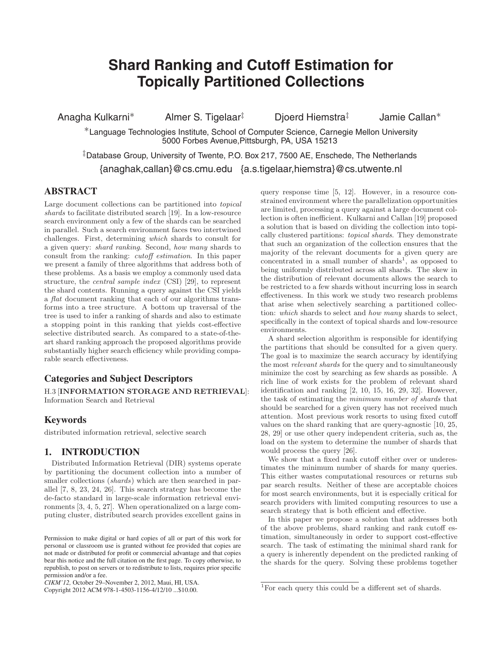# **Shard Ranking and Cutoff Estimation for Topically Partitioned Collections**

Anagha Kulkarni∗ Almer S. Tigelaar‡ Djoerd Hiemstra‡ Jamie Callan∗

∗Language Technologies Institute, School of Computer Science, Carnegie Mellon University 5000 Forbes Avenue,Pittsburgh, PA, USA 15213

‡Database Group, University of Twente, P.O. Box 217, 7500 AE, Enschede, The Netherlands {anaghak,callan}@cs.cmu.edu {a.s.tigelaar,hiemstra}@cs.utwente.nl

# **ABSTRACT**

Large document collections can be partitioned into topical shards to facilitate distributed search [\[19\]](#page-9-0). In a low-resource search environment only a few of the shards can be searched in parallel. Such a search environment faces two intertwined challenges. First, determining which shards to consult for a given query: shard ranking. Second, how many shards to consult from the ranking: cutoff estimation. In this paper we present a family of three algorithms that address both of these problems. As a basis we employ a commonly used data structure, the central sample index (CSI) [\[29\]](#page-9-1), to represent the shard contents. Running a query against the CSI yields a flat document ranking that each of our algorithms transforms into a tree structure. A bottom up traversal of the tree is used to infer a ranking of shards and also to estimate a stopping point in this ranking that yields cost-effective selective distributed search. As compared to a state-of-theart shard ranking approach the proposed algorithms provide substantially higher search efficiency while providing comparable search effectiveness.

## **Categories and Subject Descriptors**

H.3 [**INFORMATION STORAGE AND RETRIEVAL**]: Information Search and Retrieval

# **Keywords**

distributed information retrieval, selective search

## **1. INTRODUCTION**

Distributed Information Retrieval (DIR) systems operate by partitioning the document collection into a number of smaller collections (shards) which are then searched in parallel [\[7,](#page-9-2) [8,](#page-9-3) [23,](#page-9-4) [24,](#page-9-5) [26\]](#page-9-6). This search strategy has become the de-facto standard in large-scale information retrieval environments [\[3,](#page-8-0) [4,](#page-8-1) [5,](#page-8-2) [27\]](#page-9-7). When operationalized on a large computing cluster, distributed search provides excellent gains in

Copyright 2012 ACM 978-1-4503-1156-4/12/10 ...\$10.00.

query response time [\[5,](#page-8-2) [12\]](#page-9-8). However, in a resource constrained environment where the parallelization opportunities are limited, processing a query against a large document collection is often inefficient. Kulkarni and Callan [\[19\]](#page-9-0) proposed a solution that is based on dividing the collection into topically clustered partitions: topical shards. They demonstrate that such an organization of the collection ensures that the majority of the relevant documents for a given query are concentrated in a small number of shards<sup>1</sup>, as opposed to being uniformly distributed across all shards. The skew in the distribution of relevant documents allows the search to be restricted to a few shards without incurring loss in search effectiveness. In this work we study two research problems that arise when selectively searching a partitioned collection: which shards to select and how many shards to select, specifically in the context of topical shards and low-resource environments.

A shard selection algorithm is responsible for identifying the partitions that should be consulted for a given query. The goal is to maximize the search accuracy by identifying the most relevant shards for the query and to simultaneously minimize the cost by searching as few shards as possible. A rich line of work exists for the problem of relevant shard identification and ranking [\[2,](#page-8-3) [10,](#page-9-9) [15,](#page-9-10) [16,](#page-9-11) [29,](#page-9-1) [32\]](#page-9-12). However, the task of estimating the minimum number of shards that should be searched for a given query has not received much attention. Most previous work resorts to using fixed cutoff values on the shard ranking that are query-agnostic [\[10,](#page-9-9) [25,](#page-9-13) [28,](#page-9-14) [29\]](#page-9-1) or use other query independent criteria, such as, the load on the system to determine the number of shards that would process the query [\[26\]](#page-9-6).

We show that a fixed rank cutoff either over or underestimates the minimum number of shards for many queries. This either wastes computational resources or returns sub par search results. Neither of these are acceptable choices for most search environments, but it is especially critical for search providers with limited computing resources to use a search strategy that is both efficient and effective.

In this paper we propose a solution that addresses both of the above problems, shard ranking and rank cutoff estimation, simultaneously in order to support cost-effective search. The task of estimating the minimal shard rank for a query is inherently dependent on the predicted ranking of the shards for the query. Solving these problems together

Permission to make digital or hard copies of all or part of this work for personal or classroom use is granted without fee provided that copies are not made or distributed for profit or commercial advantage and that copies bear this notice and the full citation on the first page. To copy otherwise, to republish, to post on servers or to redistribute to lists, requires prior specific permission and/or a fee.

*CIKM'12,* October 29–November 2, 2012, Maui, HI, USA.

<sup>&</sup>lt;sup>1</sup>For each query this could be a different set of shards.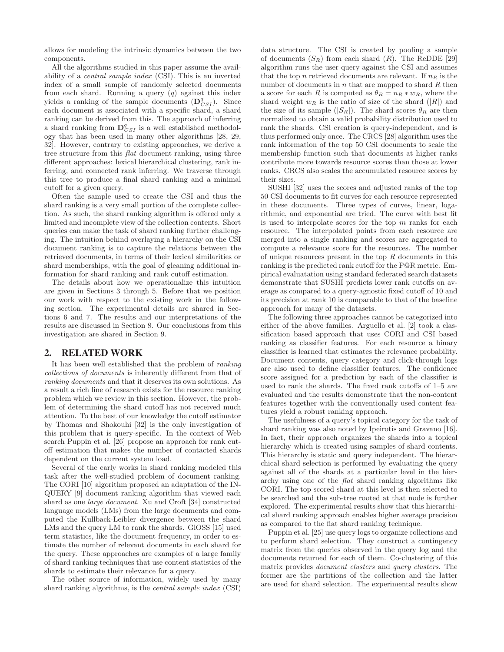allows for modeling the intrinsic dynamics between the two components.

All the algorithms studied in this paper assume the availability of a central sample index (CSI). This is an inverted index of a small sample of randomly selected documents from each shard. Running a query  $(q)$  against this index yields a ranking of the sample documents  $(D_{CSI}^q)$ . Since each document is associated with a specific shard, a shard ranking can be derived from this. The approach of inferring a shard ranking from  $\mathbf{D}_{CSI}^q$  is a well established methodology that has been used in many other algorithms [\[28,](#page-9-14) [29,](#page-9-1) [32\]](#page-9-12). However, contrary to existing approaches, we derive a tree structure from this flat document ranking, using three different approaches: lexical hierarchical clustering, rank inferring, and connected rank inferring. We traverse through this tree to produce a final shard ranking and a minimal cutoff for a given query.

Often the sample used to create the CSI and thus the shard ranking is a very small portion of the complete collection. As such, the shard ranking algorithm is offered only a limited and incomplete view of the collection contents. Short queries can make the task of shard ranking further challenging. The intuition behind overlaying a hierarchy on the CSI document ranking is to capture the relations between the retrieved documents, in terms of their lexical similarities or shard memberships, with the goal of gleaning additional information for shard ranking and rank cutoff estimation.

The details about how we operationalize this intuition are given in Sections [3](#page-2-0) through [5.](#page-4-0) Before that we position our work with respect to the existing work in the following section. The experimental details are shared in Sections [6](#page-4-1) and [7.](#page-5-0) The results and our interpretations of the results are discussed in Section [8.](#page-5-1) Our conclusions from this investigation are shared in Section [9.](#page-8-4)

#### <span id="page-1-0"></span>**2. RELATED WORK**

It has been well established that the problem of ranking collections of documents is inherently different from that of ranking documents and that it deserves its own solutions. As a result a rich line of research exists for the resource ranking problem which we review in this section. However, the problem of determining the shard cutoff has not received much attention. To the best of our knowledge the cutoff estimator by Thomas and Shokouhi [\[32\]](#page-9-12) is the only investigation of this problem that is query-specific. In the context of Web search Puppin et al. [\[26\]](#page-9-6) propose an approach for rank cutoff estimation that makes the number of contacted shards dependent on the current system load.

Several of the early works in shard ranking modeled this task after the well-studied problem of document ranking. The CORI [\[10\]](#page-9-9) algorithm proposed an adaptation of the IN-QUERY [\[9\]](#page-9-15) document ranking algorithm that viewed each shard as one large document. Xu and Croft [\[34\]](#page-9-16) constructed language models (LMs) from the large documents and computed the Kullback-Leibler divergence between the shard LMs and the query LM to rank the shards. GlOSS [\[15\]](#page-9-10) used term statistics, like the document frequency, in order to estimate the number of relevant documents in each shard for the query. These approaches are examples of a large family of shard ranking techniques that use content statistics of the shards to estimate their relevance for a query.

The other source of information, widely used by many shard ranking algorithms, is the central sample index (CSI) data structure. The CSI is created by pooling a sample of documents  $(S_R)$  from each shard  $(R)$ . The ReDDE [\[29\]](#page-9-1) algorithm runs the user query against the CSI and assumes that the top *n* retrieved documents are relevant. If  $n<sub>R</sub>$  is the number of documents in  $n$  that are mapped to shard  $R$  then a score for each R is computed as  $\theta_R = n_R * w_R$ , where the shard weight  $w_R$  is the ratio of size of the shard  $(|R|)$  and the size of its sample  $(|S_R|)$ . The shard scores  $\theta_R$  are then normalized to obtain a valid probability distribution used to rank the shards. CSI creation is query-independent, and is thus performed only once. The CRCS [\[28\]](#page-9-14) algorithm uses the rank information of the top 50 CSI documents to scale the membership function such that documents at higher ranks contribute more towards resource scores than those at lower ranks. CRCS also scales the accumulated resource scores by their sizes.

SUSHI [\[32\]](#page-9-12) uses the scores and adjusted ranks of the top 50 CSI documents to fit curves for each resource represented in these documents. Three types of curves, linear, logarithmic, and exponential are tried. The curve with best fit is used to interpolate scores for the top  $m$  ranks for each resource. The interpolated points from each resource are merged into a single ranking and scores are aggregated to compute a relevance score for the resources. The number of unique resources present in the top  $R$  documents in this ranking is the predicted rank cutoff for the P@R metric. Empirical evaluatation using standard federated search datasets demonstrate that SUSHI predicts lower rank cutoffs on average as compared to a query-agnostic fixed cutoff of 10 and its precision at rank 10 is comparable to that of the baseline approach for many of the datasets.

The following three approaches cannot be categorized into either of the above families. Arguello et al. [\[2\]](#page-8-3) took a classification based approach that uses CORI and CSI based ranking as classifier features. For each resource a binary classifier is learned that estimates the relevance probability. Document contents, query category and click-through logs are also used to define classifier features. The confidence score assigned for a prediction by each of the classifier is used to rank the shards. The fixed rank cutoffs of 1–5 are evaluated and the results demonstrate that the non-content features together with the conventionally used content features yield a robust ranking approach.

The usefulness of a query's topical category for the task of shard ranking was also noted by Ipeirotis and Gravano [\[16\]](#page-9-11). In fact, their approach organizes the shards into a topical hierarchy which is created using samples of shard contents. This hierarchy is static and query independent. The hierarchical shard selection is performed by evaluating the query against all of the shards at a particular level in the hierarchy using one of the flat shard ranking algorithms like CORI. The top scored shard at this level is then selected to be searched and the sub-tree rooted at that node is further explored. The experimental results show that this hierarchical shard ranking approach enables higher average precision as compared to the flat shard ranking technique.

Puppin et al. [\[25\]](#page-9-13) use query logs to organize collections and to perform shard selection. They construct a contingency matrix from the queries observed in the query log and the documents returned for each of them. Co-clustering of this matrix provides document clusters and query clusters. The former are the partitions of the collection and the latter are used for shard selection. The experimental results show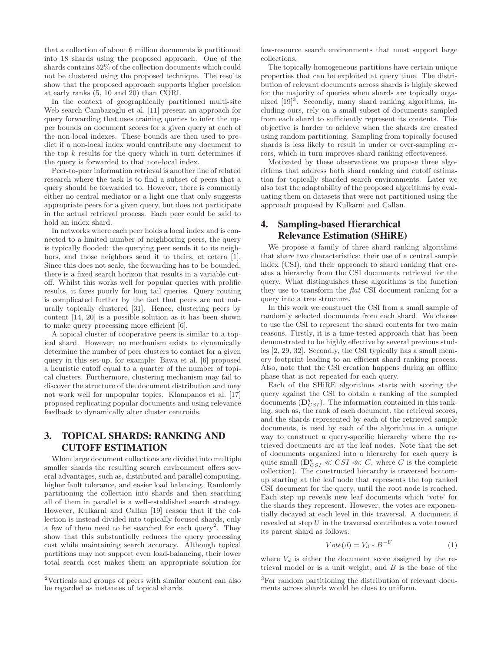that a collection of about 6 million documents is partitioned into 18 shards using the proposed approach. One of the shards contains 52% of the collection documents which could not be clustered using the proposed technique. The results show that the proposed approach supports higher precision at early ranks (5, 10 and 20) than CORI.

In the context of geographically partitioned multi-site Web search Cambazoglu et al. [\[11\]](#page-9-17) present an approach for query forwarding that uses training queries to infer the upper bounds on document scores for a given query at each of the non-local indexes. These bounds are then used to predict if a non-local index would contribute any document to the top  $k$  results for the query which in turn determines if the query is forwarded to that non-local index.

Peer-to-peer information retrieval is another line of related research where the task is to find a subset of peers that a query should be forwarded to. However, there is commonly either no central mediator or a light one that only suggests appropriate peers for a given query, but does not participate in the actual retrieval process. Each peer could be said to hold an index shard.

In networks where each peer holds a local index and is connected to a limited number of neighboring peers, the query is typically flooded: the querying peer sends it to its neighbors, and those neighbors send it to theirs, et cetera [\[1\]](#page-8-5). Since this does not scale, the forwarding has to be bounded, there is a fixed search horizon that results in a variable cutoff. Whilst this works well for popular queries with prolific results, it fares poorly for long tail queries. Query routing is complicated further by the fact that peers are not naturally topically clustered [\[31\]](#page-9-18). Hence, clustering peers by content [\[14,](#page-9-19) [20\]](#page-9-20) is a possible solution as it has been shown to make query processing more efficient [\[6\]](#page-9-21).

A topical cluster of cooperative peers is similar to a topical shard. However, no mechanism exists to dynamically determine the number of peer clusters to contact for a given query in this set-up, for example: Bawa et al. [\[6\]](#page-9-21) proposed a heuristic cutoff equal to a quarter of the number of topical clusters. Furthermore, clustering mechanism may fail to discover the structure of the document distribution and may not work well for unpopular topics. Klampanos et al. [\[17\]](#page-9-22) proposed replicating popular documents and using relevance feedback to dynamically alter cluster centroids.

## <span id="page-2-0"></span>**3. TOPICAL SHARDS: RANKING AND CUTOFF ESTIMATION**

When large document collections are divided into multiple smaller shards the resulting search environment offers several advantages, such as, distributed and parallel computing, higher fault tolerance, and easier load balancing. Randomly partitioning the collection into shards and then searching all of them in parallel is a well-established search strategy. However, Kulkarni and Callan [\[19\]](#page-9-0) reason that if the collection is instead divided into topically focused shards, only a few of them need to be searched for each query<sup>2</sup>. They show that this substantially reduces the query processing cost while maintaining search accuracy. Although topical partitions may not support even load-balancing, their lower total search cost makes them an appropriate solution for

low-resource search environments that must support large collections.

The topically homogeneous partitions have certain unique properties that can be exploited at query time. The distribution of relevant documents across shards is highly skewed for the majority of queries when shards are topically organized  $[19]^3$  $[19]^3$ . Secondly, many shard ranking algorithms, including ours, rely on a small subset of documents sampled from each shard to sufficiently represent its contents. This objective is harder to achieve when the shards are created using random partitioning. Sampling from topically focused shards is less likely to result in under or over-sampling errors, which in turn improves shard ranking effectiveness.

Motivated by these observations we propose three algorithms that address both shard ranking and cutoff estimation for topically sharded search environments. Later we also test the adaptability of the proposed algorithms by evaluating them on datasets that were not partitioned using the approach proposed by Kulkarni and Callan.

## **4. Sampling-based Hierarchical Relevance Estimation (SHiRE)**

We propose a family of three shard ranking algorithms that share two characteristics: their use of a central sample index (CSI), and their approach to shard ranking that creates a hierarchy from the CSI documents retrieved for the query. What distinguishes these algorithms is the function they use to transform the flat CSI document ranking for a query into a tree structure.

In this work we construct the CSI from a small sample of randomly selected documents from each shard. We choose to use the CSI to represent the shard contents for two main reasons. Firstly, it is a time-tested approach that has been demonstrated to be highly effective by several previous studies [\[2,](#page-8-3) [29,](#page-9-1) [32\]](#page-9-12). Secondly, the CSI typically has a small memory footprint leading to an efficient shard ranking process. Also, note that the CSI creation happens during an offline phase that is not repeated for each query.

Each of the SHiRE algorithms starts with scoring the query against the CSI to obtain a ranking of the sampled documents  $(D_{CSI}^q)$ . The information contained in this ranking, such as, the rank of each document, the retrieval scores, and the shards represented by each of the retrieved sample documents, is used by each of the algorithms in a unique way to construct a query-specific hierarchy where the retrieved documents are at the leaf nodes. Note that the set of documents organized into a hierarchy for each query is quite small  $(\mathbf{D}_{CSI}^q \ll CSI \ll C,$  where C is the complete collection). The constructed hierarchy is traversed bottomup starting at the leaf node that represents the top ranked CSI document for the query, until the root node is reached. Each step up reveals new leaf documents which 'vote' for the shards they represent. However, the votes are exponentially decayed at each level in this traversal. A document d revealed at step U in the traversal contributes a vote toward its parent shard as follows:

$$
Vote(d) = V_d * B^{-U}
$$
 (1)

<span id="page-2-1"></span>where  $V_d$  is either the document score assigned by the retrieval model or is a unit weight, and B is the base of the

 $\rm ^2V$ erticals and groups of peers with similar content can also be regarded as instances of topical shards.

<sup>3</sup>For random partitioning the distribution of relevant documents across shards would be close to uniform.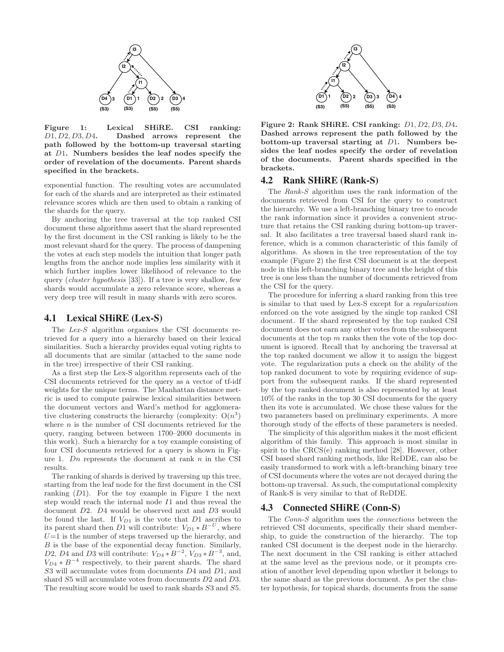

<span id="page-3-0"></span>**Figure 1: Lexical SHiRE. CSI ranking:** D1, D2, D3, D4**. Dashed arrows represent the path followed by the bottom-up traversal starting at** D1**. Numbers besides the leaf nodes specify the order of revelation of the documents. Parent shards specified in the brackets.**

exponential function. The resulting votes are accumulated for each of the shards and are interpreted as their estimated relevance scores which are then used to obtain a ranking of the shards for the query.

By anchoring the tree traversal at the top ranked CSI document these algorithms assert that the shard represented by the first document in the CSI ranking is likely to be the most relevant shard for the query. The process of dampening the votes at each step models the intuition that longer path lengths from the anchor node implies less similarity with it which further implies lower likelihood of relevance to the query (cluster hypothesis [\[33\]](#page-9-23)). If a tree is very shallow, few shards would accumulate a zero relevance score, whereas a very deep tree will result in many shards with zero scores.

#### **4.1 Lexical SHiRE (Lex-S)**

The Lex-S algorithm organizes the CSI documents retrieved for a query into a hierarchy based on their lexical similarities. Such a hierarchy provides equal voting rights to all documents that are similar (attached to the same node in the tree) irrespective of their CSI ranking.

As a first step the Lex-S algorithm represents each of the CSI documents retrieved for the query as a vector of tf-idf weights for the unique terms. The Manhattan distance metric is used to compute pairwise lexical similarities between the document vectors and Ward's method for agglomerative clustering constructs the hierarchy (complexity:  $O(n^3)$ ) where  $n$  is the number of CSI documents retrieved for the query, ranging between between 1700–2000 documents in this work). Such a hierarchy for a toy example consisting of four CSI documents retrieved for a query is shown in Fig-ure [1.](#page-3-0) Dn represents the document at rank  $n$  in the CSI results.

The ranking of shards is derived by traversing up this tree, starting from the leaf node for the first document in the CSI ranking  $(D1)$ . For the toy example in Figure [1](#page-3-0) the next step would reach the internal node I1 and thus reveal the document D2. D4 would be observed next and D3 would be found the last. If  $V_{D1}$  is the vote that  $D1$  ascribes to its parent shard then D1 will contribute:  $V_{D1} * B^{-U}$ , where  $U=1$  is the number of steps traversed up the hierarchy, and B is the base of the exponential decay function. Similarly, D2, D4 and D3 will contribute:  $V_{D4} * B^{-2}$ ,  $V_{D3} * B^{-3}$ , and,  $V_{D4} * B^{-4}$  respectively, to their parent shards. The shard S3 will accumulate votes from documents D4 and D1, and shard S5 will accumulate votes from documents D2 and D3. The resulting score would be used to rank shards S3 and S5.



<span id="page-3-1"></span>**Figure 2: Rank SHiRE. CSI ranking:** D1, D2, D3, D4**. Dashed arrows represent the path followed by the bottom-up traversal starting at** D1**. Numbers besides the leaf nodes specify the order of revelation of the documents. Parent shards specified in the brackets.**

#### **4.2 Rank SHiRE (Rank-S)**

The Rank-S algorithm uses the rank information of the documents retrieved from CSI for the query to construct the hierarchy. We use a left-branching binary tree to encode the rank information since it provides a convenient structure that retains the CSI ranking during bottom-up traversal. It also facilitates a tree traversal based shard rank inference, which is a common characteristic of this family of algorithms. As shown in the tree representation of the toy example (Figure [2\)](#page-3-1) the first CSI document is at the deepest node in this left-branching binary tree and the height of this tree is one less than the number of documents retrieved from the CSI for the query.

The procedure for inferring a shard ranking from this tree is similar to that used by Lex-S except for a regularization enforced on the vote assigned by the single top ranked CSI document. If the shard represented by the top ranked CSI document does not earn any other votes from the subsequent documents at the top m ranks then the vote of the top document is ignored. Recall that by anchoring the traversal at the top ranked document we allow it to assign the biggest vote. The regularization puts a check on the ability of the top ranked document to vote by requiring evidence of support from the subsequent ranks. If the shard represented by the top ranked document is also represented by at least 10% of the ranks in the top 30 CSI documents for the query then its vote is accumulated. We chose these values for the two parameters based on preliminary experiments. A more thorough study of the effects of these parameters is needed.

The simplicity of this algorithm makes it the most efficient algorithm of this family. This approach is most similar in spirit to the CRCS(e) ranking method [\[28\]](#page-9-14). However, other CSI based shard ranking methods, like ReDDE, can also be easily transformed to work with a left-branching binary tree of CSI documents where the votes are not decayed during the bottom-up traversal. As such, the computational complexity of Rank-S is very similar to that of ReDDE.

#### **4.3 Connected SHiRE (Conn-S)**

The Conn-S algorithm uses the connections between the retrieved CSI documents, specifically their shard membership, to guide the construction of the hierarchy. The top ranked CSI document is the deepest node in the hierarchy. The next document in the CSI ranking is either attached at the same level as the previous node, or it prompts creation of another level depending upon whether it belongs to the same shard as the previous document. As per the cluster hypothesis, for topical shards, documents from the same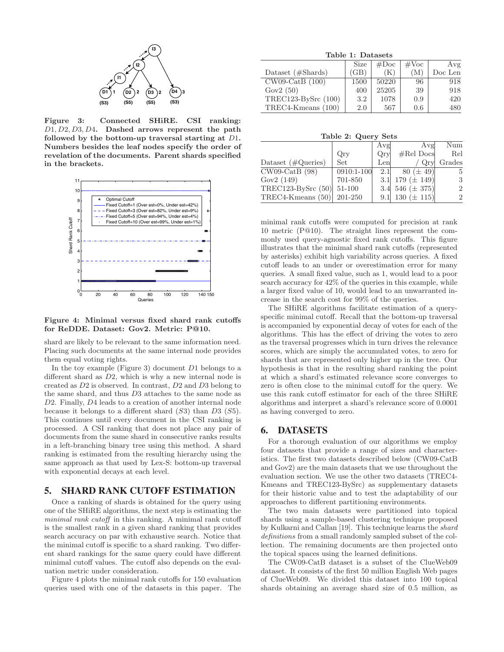

<span id="page-4-2"></span>**Figure 3: Connected SHiRE. CSI ranking:** D1, D2, D3, D4**. Dashed arrows represent the path followed by the bottom-up traversal starting at** D1**. Numbers besides the leaf nodes specify the order of revelation of the documents. Parent shards specified in the brackets.**



<span id="page-4-3"></span>**Figure 4: Minimal versus fixed shard rank cutoffs for ReDDE. Dataset: Gov2. Metric: P@10.**

shard are likely to be relevant to the same information need. Placing such documents at the same internal node provides them equal voting rights.

In the toy example (Figure [3\)](#page-4-2) document D1 belongs to a different shard as D2, which is why a new internal node is created as D2 is observed. In contrast, D2 and D3 belong to the same shard, and thus D3 attaches to the same node as D2. Finally, D4 leads to a creation of another internal node because it belongs to a different shard (S3) than D3 (S5). This continues until every document in the CSI ranking is processed. A CSI ranking that does not place any pair of documents from the same shard in consecutive ranks results in a left-branching binary tree using this method. A shard ranking is estimated from the resulting hierarchy using the same approach as that used by Lex-S: bottom-up traversal with exponential decays at each level.

## <span id="page-4-0"></span>**5. SHARD RANK CUTOFF ESTIMATION**

Once a ranking of shards is obtained for the query using one of the SHiRE algorithms, the next step is estimating the minimal rank cutoff in this ranking. A minimal rank cutoff is the smallest rank in a given shard ranking that provides search accuracy on par with exhaustive search. Notice that the minimal cutoff is specific to a shard ranking. Two different shard rankings for the same query could have different minimal cutoff values. The cutoff also depends on the evaluation metric under consideration.

Figure [4](#page-4-3) plots the minimal rank cutoffs for 150 evaluation queries used with one of the datasets in this paper. The

<span id="page-4-4"></span>**Table 1: Datasets**

|                      | Size | #Doc  | $\#\text{Voc}$ | Avg     |
|----------------------|------|-------|----------------|---------|
| Dataset $(\#Shards)$ | (GB) | (K)   | (M)            | Doc Len |
| $CW09-CatB(100)$     | 1500 | 50220 | 96             | 918     |
| Gov $2(50)$          | 400  | 25205 | 39             | 918     |
| TREC123-BySrc (100)  | 3.2  | 1078  | 0.9            | 420     |
| TREC4-Kmeans (100)   | 2.0  | 567   | 0.6            | 480     |

<span id="page-4-5"></span>**Table 2: Query Sets**

|                              |              | Avg | Avg             | Num            |
|------------------------------|--------------|-----|-----------------|----------------|
|                              | Qry          | Qry | $#Rel$ Docs     | Rel            |
| Dataset $(\text{\#Queries})$ | Set          | Len | Qry'            | Grades         |
| $CW09-CatB(98)$              | $0910:1-100$ | 2.1 | $80 (\pm 49)$   | 5              |
| Gov $2(149)$                 | 701-850      | 3.1 | 179 $(\pm 149)$ | 3              |
| TREC123-BySrc (50)           | 51-100       | 3.4 | 546 $(\pm 375)$ | $\overline{2}$ |
| TREC4-Kmeans (50) 201-250    |              | 9.1 | $130 (\pm 115)$ | $\mathfrak{D}$ |

minimal rank cutoffs were computed for precision at rank 10 metric (P@10). The straight lines represent the commonly used query-agnostic fixed rank cutoffs. This figure illustrates that the minimal shard rank cutoffs (represented by asterisks) exhibit high variability across queries. A fixed cutoff leads to an under or overestimation error for many queries. A small fixed value, such as 1, would lead to a poor search accuracy for 42% of the queries in this example, while a larger fixed value of 10, would lead to an unwarranted increase in the search cost for 99% of the queries.

The SHiRE algorithms facilitate estimation of a queryspecific minimal cutoff. Recall that the bottom-up traversal is accompanied by exponential decay of votes for each of the algorithms. This has the effect of driving the votes to zero as the traversal progresses which in turn drives the relevance scores, which are simply the accumulated votes, to zero for shards that are represented only higher up in the tree. Our hypothesis is that in the resulting shard ranking the point at which a shard's estimated relevance score converges to zero is often close to the minimal cutoff for the query. We use this rank cutoff estimator for each of the three SHiRE algorithms and interpret a shard's relevance score of 0.0001 as having converged to zero.

## <span id="page-4-1"></span>**6. DATASETS**

For a thorough evaluation of our algorithms we employ four datasets that provide a range of sizes and characteristics. The first two datasets described below (CW09-CatB and Gov2) are the main datasets that we use throughout the evaluation section. We use the other two datasets (TREC4- Kmeans and TREC123-BySrc) as supplementary datasets for their historic value and to test the adaptability of our approaches to different partitioning environments.

The two main datasets were partitioned into topical shards using a sample-based clustering technique proposed by Kulkarni and Callan [\[19\]](#page-9-0). This technique learns the shard definitions from a small randomly sampled subset of the collection. The remaining documents are then projected onto the topical spaces using the learned definitions.

The CW09-CatB dataset is a subset of the ClueWeb09 dataset. It consists of the first 50 million English Web pages of ClueWeb09. We divided this dataset into 100 topical shards obtaining an average shard size of 0.5 million, as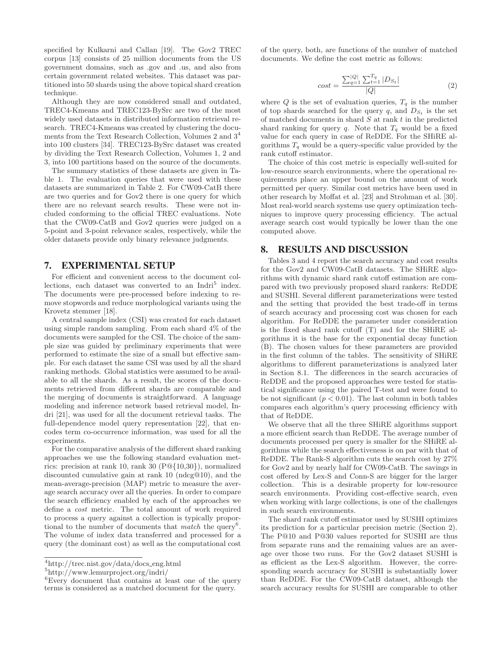specified by Kulkarni and Callan [\[19\]](#page-9-0). The Gov2 TREC corpus [\[13\]](#page-9-24) consists of 25 million documents from the US government domains, such as .gov and .us, and also from certain government related websites. This dataset was partitioned into 50 shards using the above topical shard creation technique.

Although they are now considered small and outdated, TREC4-Kmeans and TREC123-BySrc are two of the most widely used datasets in distributed information retrieval research. TREC4-Kmeans was created by clustering the documents from the Text Research Collection, Volumes 2 and 3<sup>4</sup> into 100 clusters [\[34\]](#page-9-16). TREC123-BySrc dataset was created by dividing the Text Research Collection, Volumes 1, 2 and 3, into 100 partitions based on the source of the documents.

The summary statistics of these datasets are given in Table [1.](#page-4-4) The evaluation queries that were used with these datasets are summarized in Table [2.](#page-4-5) For CW09-CatB there are two queries and for Gov2 there is one query for which there are no relevant search results. These were not included conforming to the official TREC evaluations. Note that the CW09-CatB and Gov2 queries were judged on a 5-point and 3-point relevance scales, respectively, while the older datasets provide only binary relevance judgments.

#### <span id="page-5-0"></span>**7. EXPERIMENTAL SETUP**

For efficient and convenient access to the document collections, each dataset was converted to an Indri<sup>5</sup> index. The documents were pre-processed before indexing to remove stopwords and reduce morphological variants using the Krovetz stemmer [\[18\]](#page-9-25).

A central sample index (CSI) was created for each dataset using simple random sampling. From each shard 4% of the documents were sampled for the CSI. The choice of the sample size was guided by preliminary experiments that were performed to estimate the size of a small but effective sample. For each dataset the same CSI was used by all the shard ranking methods. Global statistics were assumed to be available to all the shards. As a result, the scores of the documents retrieved from different shards are comparable and the merging of documents is straightforward. A language modeling and inference network based retrieval model, Indri [\[21\]](#page-9-26), was used for all the document retrieval tasks. The full-dependence model query representation [\[22\]](#page-9-27), that encodes term co-occurrence information, was used for all the experiments.

For the comparative analysis of the different shard ranking approaches we use the following standard evaluation metrics: precision at rank 10, rank 30 (P@{10,30}), normalized discounted cumulative gain at rank 10 (ndcg@10), and the mean-average-precision (MAP) metric to measure the average search accuracy over all the queries. In order to compare the search efficiency enabled by each of the approaches we define a cost metric. The total amount of work required to process a query against a collection is typically proportional to the number of documents that match the query<sup>6</sup>. The volume of index data transferred and processed for a query (the dominant cost) as well as the computational cost

of the query, both, are functions of the number of matched documents. We define the cost metric as follows:

$$
cost = \frac{\sum_{q=1}^{|Q|} \sum_{t=1}^{T_q} |D_{S_t}|}{|Q|} \tag{2}
$$

where  $Q$  is the set of evaluation queries,  $T_q$  is the number of top shards searched for the query  $q$ , and  $D_{S_t}$  is the set of matched documents in shard  $S$  at rank  $t$  in the predicted shard ranking for query  $q$ . Note that  $T_q$  would be a fixed value for each query in case of ReDDE. For the SHiRE algorithms  $T_q$  would be a query-specific value provided by the rank cutoff estimator.

The choice of this cost metric is especially well-suited for low-resource search environments, where the operational requirements place an upper bound on the amount of work permitted per query. Similar cost metrics have been used in other research by Moffat et al. [\[23\]](#page-9-4) and Strohman et al. [\[30\]](#page-9-28). Most real-world search systems use query optimization techniques to improve query processing efficiency. The actual average search cost would typically be lower than the one computed above.

#### <span id="page-5-1"></span>**8. RESULTS AND DISCUSSION**

Tables [3](#page-6-0) and [4](#page-6-1) report the search accuracy and cost results for the Gov2 and CW09-CatB datasets. The SHiRE algorithms with dynamic shard rank cutoff estimation are compared with two previously proposed shard rankers: ReDDE and SUSHI. Several different parameterizations were tested and the setting that provided the best trade-off in terms of search accuracy and processing cost was chosen for each algorithm. For ReDDE the parameter under consideration is the fixed shard rank cutoff (T) and for the SHiRE algorithms it is the base for the exponential decay function (B). The chosen values for these parameters are provided in the first column of the tables. The sensitivity of SHiRE algorithms to different parameterizations is analyzed later in Section [8.1.](#page-6-2) The differences in the search accuracies of ReDDE and the proposed approaches were tested for statistical significance using the paired T-test and were found to be not significant  $(p < 0.01)$ . The last column in both tables compares each algorithm's query processing efficiency with that of ReDDE.

We observe that all the three SHiRE algorithms support a more efficient search than ReDDE. The average number of documents processed per query is smaller for the SHiRE algorithms while the search effectiveness is on par with that of ReDDE. The Rank-S algorithm cuts the search cost by 27% for Gov2 and by nearly half for CW09-CatB. The savings in cost offered by Lex-S and Conn-S are bigger for the larger collection. This is a desirable property for low-resource search environments. Providing cost-effective search, even when working with large collections, is one of the challenges in such search environments.

The shard rank cutoff estimator used by SUSHI optimizes its prediction for a particular precision metric (Section [2\)](#page-1-0). The P@10 and P@30 values reported for SUSHI are thus from separate runs and the remaining values are an average over those two runs. For the Gov2 dataset SUSHI is as efficient as the Lex-S algorithm. However, the corresponding search accuracy for SUSHI is substantially lower than ReDDE. For the CW09-CatB dataset, although the search accuracy results for SUSHI are comparable to other

 $^{4}$ http://trec.nist.gov/data/docs\_eng.html<br> $^{5}$ http://www.lemurproject.org/indri/

<sup>6</sup>Every document that contains at least one of the query terms is considered as a matched document for the query.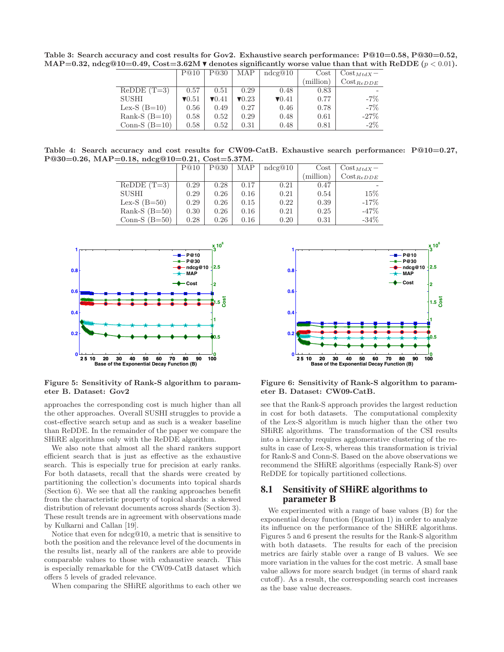<span id="page-6-0"></span>**Table 3: Search accuracy and cost results for Gov2. Exhaustive search performance: P@10=0.58, P@30=0.52,**  $\text{MAP}=0.32, \text{ndcg@10=0.49}, \text{Cost}=3.62 \text{M}$  **v** denotes significantly worse value than that with ReDDE  $(p < 0.01)$ .

|                 | P@10          | P@30          | MAP           | ndcg@10       | $\cos t$  | $Cost_{MtdX} -$       |
|-----------------|---------------|---------------|---------------|---------------|-----------|-----------------------|
|                 |               |               |               |               | (million) | $\text{Cost}_{ReDDE}$ |
| $REDDE(T=3)$    | 0.57          | 0.51          | 0.29          | 0.48          | 0.83      |                       |
| <b>SUSHI</b>    | $\nabla 0.51$ | $\nabla 0.41$ | $\nabla 0.23$ | $\nabla 0.41$ | 0.77      | $-7\%$                |
| Lex-S $(B=10)$  | 0.56          | 0.49          | 0.27          | 0.46          | 0.78      | $-7\%$                |
| Rank-S $(B=10)$ | 0.58          | 0.52          | 0.29          | 0.48          | 0.61      | $-27%$                |
| Conn-S $(B=10)$ | 0.58          | 0.52          | 0.31          | 0.48          | 0.81      | $-2\%$                |

<span id="page-6-1"></span>**Table 4: Search accuracy and cost results for CW09-CatB. Exhaustive search performance: P@10=0.27, P@30=0.26, MAP=0.18, ndcg@10=0.21, Cost=5.37M.**

|                 | P@10 | P@30 | <b>MAP</b> | ndcg@10 | $\cos t$  | $Cost_{MtdX} -$         |
|-----------------|------|------|------------|---------|-----------|-------------------------|
|                 |      |      |            |         | (million) | $\mathrm{Cost}_{ReDDE}$ |
| $REDDE(T=3)$    | 0.29 | 0.28 | 0.17       | 0.21    | 0.47      |                         |
| SUSHI           | 0.29 | 0.26 | 0.16       | 0.21    | 0.54      | 15%                     |
| Lex-S $(B=50)$  | 0.29 | 0.26 | 0.15       | 0.22    | 0.39      | $-17%$                  |
| Rank-S $(B=50)$ | 0.30 | 0.26 | 0.16       | 0.21    | 0.25      | $-47%$                  |
| Conn-S $(B=50)$ | 0.28 | 0.26 | 0.16       | 0.20    | 0.31      | $-34\%$                 |



<span id="page-6-3"></span>**Figure 5: Sensitivity of Rank-S algorithm to parameter B. Dataset: Gov2**

approaches the corresponding cost is much higher than all the other approaches. Overall SUSHI struggles to provide a cost-effective search setup and as such is a weaker baseline than ReDDE. In the remainder of the paper we compare the SHiRE algorithms only with the ReDDE algorithm.

We also note that almost all the shard rankers support efficient search that is just as effective as the exhaustive search. This is especially true for precision at early ranks. For both datasets, recall that the shards were created by partitioning the collection's documents into topical shards (Section [6\)](#page-4-1). We see that all the ranking approaches benefit from the characteristic property of topical shards: a skewed distribution of relevant documents across shards (Section [3\)](#page-2-0). These result trends are in agreement with observations made by Kulkarni and Callan [\[19\]](#page-9-0).

Notice that even for ndcg@10, a metric that is sensitive to both the position and the relevance level of the documents in the results list, nearly all of the rankers are able to provide comparable values to those with exhaustive search. This is especially remarkable for the CW09-CatB dataset which offers 5 levels of graded relevance.

When comparing the SHiRE algorithms to each other we



<span id="page-6-4"></span>**Figure 6: Sensitivity of Rank-S algorithm to parameter B. Dataset: CW09-CatB.**

see that the Rank-S approach provides the largest reduction in cost for both datasets. The computational complexity of the Lex-S algorithm is much higher than the other two SHiRE algorithms. The transformation of the CSI results into a hierarchy requires agglomerative clustering of the results in case of Lex-S, whereas this transformation is trivial for Rank-S and Conn-S. Based on the above observations we recommend the SHiRE algorithms (especially Rank-S) over ReDDE for topically partitioned collections.

## <span id="page-6-2"></span>**8.1 Sensitivity of SHiRE algorithms to parameter B**

We experimented with a range of base values (B) for the exponential decay function (Equation [1\)](#page-2-1) in order to analyze its influence on the performance of the SHiRE algorithms. Figures [5](#page-6-3) and [6](#page-6-4) present the results for the Rank-S algorithm with both datasets. The results for each of the precision metrics are fairly stable over a range of B values. We see more variation in the values for the cost metric. A small base value allows for more search budget (in terms of shard rank cutoff). As a result, the corresponding search cost increases as the base value decreases.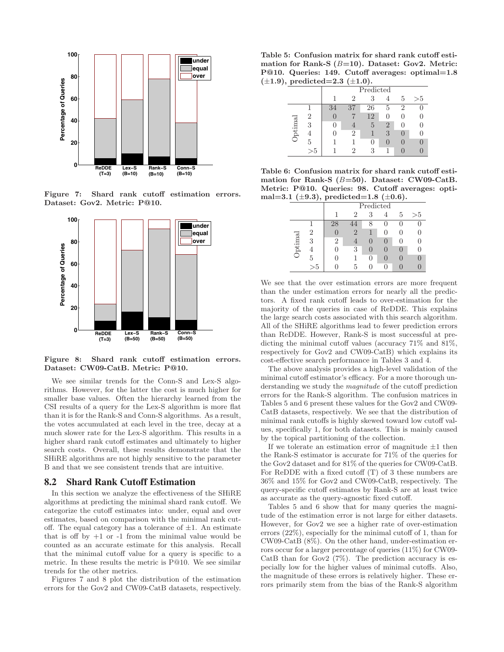

<span id="page-7-0"></span>**Figure 7: Shard rank cutoff estimation errors. Dataset: Gov2. Metric: P@10.**



<span id="page-7-1"></span>**Figure 8: Shard rank cutoff estimation errors. Dataset: CW09-CatB. Metric: P@10.**

We see similar trends for the Conn-S and Lex-S algorithms. However, for the latter the cost is much higher for smaller base values. Often the hierarchy learned from the CSI results of a query for the Lex-S algorithm is more flat than it is for the Rank-S and Conn-S algorithms. As a result, the votes accumulated at each level in the tree, decay at a much slower rate for the Lex-S algorithm. This results in a higher shard rank cutoff estimates and ultimately to higher search costs. Overall, these results demonstrate that the SHiRE algorithms are not highly sensitive to the parameter B and that we see consistent trends that are intuitive.

#### **8.2 Shard Rank Cutoff Estimation**

In this section we analyze the effectiveness of the SHiRE algorithms at predicting the minimal shard rank cutoff. We categorize the cutoff estimates into: under, equal and over estimates, based on comparison with the minimal rank cutoff. The equal category has a tolerance of  $\pm 1$ . An estimate that is off by  $+1$  or  $-1$  from the minimal value would be counted as an accurate estimate for this analysis. Recall that the minimal cutoff value for a query is specific to a metric. In these results the metric is P@10. We see similar trends for the other metrics.

Figures [7](#page-7-0) and [8](#page-7-1) plot the distribution of the estimation errors for the Gov2 and CW09-CatB datasets, respectively.

<span id="page-7-2"></span>**Table 5: Confusion matrix for shard rank cutoff estimation for Rank-S (**B**=10). Dataset: Gov2. Metric: P@10. Queries: 149. Cutoff averages: optimal=1.8 (**±**1.9), predicted=2.3 (**±**1.0).**

|         |                | Predicted |    |    |                |        |          |  |
|---------|----------------|-----------|----|----|----------------|--------|----------|--|
|         |                |           |    | 3  |                | 5      | $> \! 5$ |  |
|         |                | 34        | 37 | 26 | 5              | 2      |          |  |
|         | $\overline{2}$ |           |    | 12 |                |        |          |  |
|         | 3              |           |    | 5  | $\overline{2}$ |        |          |  |
| Optimal |                |           | 2  |    | 3              | 0      |          |  |
|         | 5              |           |    |    | 0              | $\Box$ |          |  |
|         | >5             |           |    | 3  |                |        |          |  |

<span id="page-7-3"></span>**Table 6: Confusion matrix for shard rank cutoff estimation for Rank-S (**B**=50). Dataset: CW09-CatB. Metric: P@10. Queries: 98. Cutoff averages: optimal=3.1 (**±**9.3), predicted=1.8 (**±**0.6).**

|        |          | Predicted |               |   |  |   |          |  |
|--------|----------|-----------|---------------|---|--|---|----------|--|
|        |          |           | 2             | 3 |  | 5 | $> \! 5$ |  |
|        |          | 28        |               |   |  |   |          |  |
|        | 2        |           | $\mathcal{D}$ |   |  |   |          |  |
| ptimal | 3        | 2         |               | O |  | 0 |          |  |
|        |          |           | 3             |   |  |   |          |  |
|        | 5        |           |               |   |  |   |          |  |
|        | $> \! 5$ |           | 5             |   |  |   |          |  |

We see that the over estimation errors are more frequent than the under estimation errors for nearly all the predictors. A fixed rank cutoff leads to over-estimation for the majority of the queries in case of ReDDE. This explains the large search costs associated with this search algorithm. All of the SHiRE algorithms lead to fewer prediction errors than ReDDE. However, Rank-S is most successful at predicting the minimal cutoff values (accuracy 71% and 81%, respectively for Gov2 and CW09-CatB) which explains its cost-effective search performance in Tables [3](#page-6-0) and [4.](#page-6-1)

The above analysis provides a high-level validation of the minimal cutoff estimator's efficacy. For a more thorough understanding we study the magnitude of the cutoff prediction errors for the Rank-S algorithm. The confusion matrices in Tables [5](#page-7-2) and [6](#page-7-3) present these values for the Gov2 and CW09- CatB datasets, respectively. We see that the distribution of minimal rank cutoffs is highly skewed toward low cutoff values, specifically 1, for both datasets. This is mainly caused by the topical partitioning of the collection.

If we tolerate an estimation error of magnitude  $\pm 1$  then the Rank-S estimator is accurate for 71% of the queries for the Gov2 dataset and for 81% of the queries for CW09-CatB. For ReDDE with a fixed cutoff (T) of 3 these numbers are 36% and 15% for Gov2 and CW09-CatB, respectively. The query-specific cutoff estimates by Rank-S are at least twice as accurate as the query-agnostic fixed cutoff.

Tables [5](#page-7-2) and [6](#page-7-3) show that for many queries the magnitude of the estimation error is not large for either datasets. However, for Gov2 we see a higher rate of over-estimation errors (22%), especially for the minimal cutoff of 1, than for CW09-CatB (8%). On the other hand, under-estimation errors occur for a larger percentage of queries (11%) for CW09- CatB than for Gov2  $(7\%)$ . The prediction accuracy is especially low for the higher values of minimal cutoffs. Also, the magnitude of these errors is relatively higher. These errors primarily stem from the bias of the Rank-S algorithm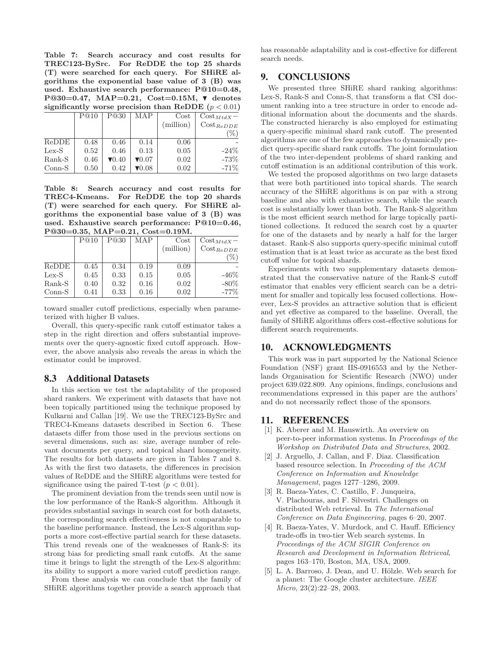<span id="page-8-6"></span>**Table 7: Search accuracy and cost results for TREC123-BySrc. For ReDDE the top 25 shards (T) were searched for each query. For SHiRE algorithms the exponential base value of 3 (B) was used. Exhaustive search performance: P@10=0.48,**  $P@30=0.47$ ,  $MAP=0.21$ ,  $Cost=0.15M$ ,  $\blacktriangledown$  denotes significantly worse precision than ReDDE  $(p < 0.01)$ 

|          | P@10 | P@30          | MAP                       | Cost      | $Cost_{MtdX} -$ |
|----------|------|---------------|---------------------------|-----------|-----------------|
|          |      |               |                           | (million) | $Cost_{ReDDE}$  |
|          |      |               |                           |           | %               |
| ReDDE    | 0.48 | 0.46          | 0.14                      | 0.06      |                 |
| $Lex-S$  | 0.52 | 0.46          | 0.13                      | 0.05      | $-24\%$         |
| Rank-S   | 0.46 | $\nabla 0.40$ | $\nabla 0.07$             | 0.02      | $-73\%$         |
| $Conn-S$ | 0.50 | 0.42          | $\blacktriangledown 0.08$ | 0.02      | $-71\%$         |

<span id="page-8-7"></span>**Table 8: Search accuracy and cost results for TREC4-Kmeans. For ReDDE the top 20 shards (T) were searched for each query. For SHiRE algorithms the exponential base value of 3 (B) was used. Exhaustive search performance: P@10=0.46, P@30=0.35, MAP=0.21, Cost=0.19M.**

|          | P@10 | P@30 | MAP  | Cost      | $Cost_{MtdX} -$                |
|----------|------|------|------|-----------|--------------------------------|
|          |      |      |      | (million) | $\cos \epsilon_{\text{REDDE}}$ |
|          |      |      |      |           | %`                             |
| ReDDE    | 0.45 | 0.34 | 0.19 | 0.09      |                                |
| $Lex-S$  | 0.45 | 0.33 | 0.15 | 0.05      | $-46\%$                        |
| Rank-S   | 0.40 | 0.32 | 0.16 | 0.02      | $-80\%$                        |
| $Conn-S$ | 0.41 | 0.33 | 0.16 | 0.02      | $-77\%$                        |

toward smaller cutoff predictions, especially when parameterized with higher B values.

Overall, this query-specific rank cutoff estimator takes a step in the right direction and offers substantial improvements over the query-agnostic fixed cutoff approach. However, the above analysis also reveals the areas in which the estimator could be improved.

#### **8.3 Additional Datasets**

In this section we test the adaptability of the proposed shard rankers. We experiment with datasets that have not been topically partitioned using the technique proposed by Kulkarni and Callan [\[19\]](#page-9-0). We use the TREC123-BySrc and TREC4-Kmeans datasets described in Section [6.](#page-4-1) These datasets differ from those used in the previous sections on several dimensions, such as: size, average number of relevant documents per query, and topical shard homogeneity. The results for both datasets are given in Tables [7](#page-8-6) and [8.](#page-8-7) As with the first two datasets, the differences in precision values of ReDDE and the SHiRE algorithms were tested for significance using the paired T-test  $(p < 0.01)$ .

The prominent deviation from the trends seen until now is the low performance of the Rank-S algorithm. Although it provides substantial savings in search cost for both datasets, the corresponding search effectiveness is not comparable to the baseline performance. Instead, the Lex-S algorithm supports a more cost-effective partial search for these datasets. This trend reveals one of the weaknesses of Rank-S: its strong bias for predicting small rank cutoffs. At the same time it brings to light the strength of the Lex-S algorithm: its ability to support a more varied cutoff prediction range.

From these analysis we can conclude that the family of SHiRE algorithms together provide a search approach that

has reasonable adaptability and is cost-effective for different search needs.

# <span id="page-8-4"></span>**9. CONCLUSIONS**

We presented three SHiRE shard ranking algorithms: Lex-S, Rank-S and Conn-S, that transform a flat CSI document ranking into a tree structure in order to encode additional information about the documents and the shards. The constructed hierarchy is also employed for estimating a query-specific minimal shard rank cutoff. The presented algorithms are one of the few approaches to dynamically predict query-specific shard rank cutoffs. The joint formulation of the two inter-dependent problems of shard ranking and cutoff estimation is an additional contribution of this work.

We tested the proposed algorithms on two large datasets that were both partitioned into topical shards. The search accuracy of the SHiRE algorithms is on par with a strong baseline and also with exhaustive search, while the search cost is substantially lower than both. The Rank-S algorithm is the most efficient search method for large topically partitioned collections. It reduced the search cost by a quarter for one of the datasets and by nearly a half for the larger dataset. Rank-S also supports query-specific minimal cutoff estimation that is at least twice as accurate as the best fixed cutoff value for topical shards.

Experiments with two supplementary datasets demonstrated that the conservative nature of the Rank-S cutoff estimator that enables very efficient search can be a detriment for smaller and topically less focused collections. However, Lex-S provides an attractive solution that is efficient and yet effective as compared to the baseline. Overall, the family of SHiRE algorithms offers cost-effective solutions for different search requirements.

## **10. ACKNOWLEDGMENTS**

This work was in part supported by the National Science Foundation (NSF) grant IIS-0916553 and by the Netherlands Organisation for Scientific Research (NWO) under project 639.022.809. Any opinions, findings, conclusions and recommendations expressed in this paper are the authors' and do not necessarily reflect those of the sponsors.

#### <span id="page-8-5"></span>**11. REFERENCES**

- [1] K. Aberer and M. Hauswirth. An overview on peer-to-peer information systems. In Proceedings of the Workshop on Distributed Data and Structures, 2002.
- <span id="page-8-3"></span>[2] J. Arguello, J. Callan, and F. Diaz. Classification based resource selection. In Proceeding of the ACM Conference on Information and Knowledge Management, pages 1277–1286, 2009.
- <span id="page-8-0"></span>[3] R. Baeza-Yates, C. Castillo, F. Junqueira, V. Plachouras, and F. Silvestri. Challenges on distributed Web retrieval. In The International Conference on Data Engineering, pages 6–20, 2007.
- <span id="page-8-1"></span>[4] R. Baeza-Yates, V. Murdock, and C. Hauff. Efficiency trade-offs in two-tier Web search systems. In Proceedings of the ACM SIGIR Conference on Research and Development in Information Retrieval, pages 163–170, Boston, MA, USA, 2009.
- <span id="page-8-2"></span>[5] L. A. Barroso, J. Dean, and U. Hölzle. Web search for a planet: The Google cluster architecture. IEEE Micro, 23(2):22–28, 2003.